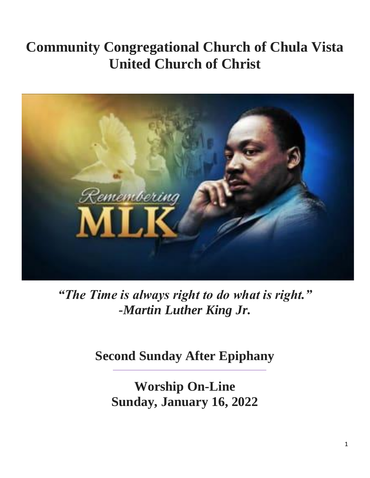# **Community Congregational Church of Chula Vista United Church of Christ**



*"The Time is always right to do what is right." -Martin Luther King Jr.* 

**Second Sunday After Epiphany**

**Worship On-Line Sunday, January 16, 2022**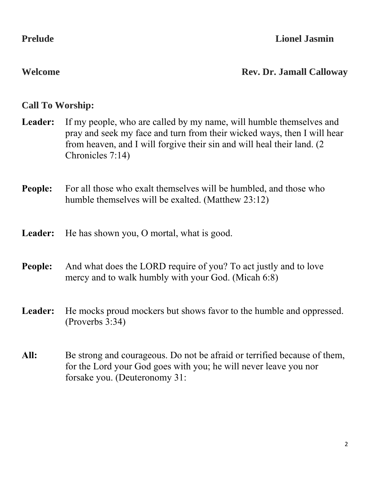**Prelude Lionel Jasmin** 

# **Welcome Rev. Dr. Jamall Calloway**

## **Call To Worship:**

- Leader: If my people, who are called by my name, will humble themselves and pray and seek my face and turn from their wicked ways, then I will hear from heaven, and I will forgive their sin and will heal their land. (2 Chronicles 7:14)
- **People:** For all those who exalt themselves will be humbled, and those who humble themselves will be exalted. (Matthew 23:12)
- Leader: He has shown you, O mortal, what is good.
- **People:** And what does the LORD require of you? To act justly and to love mercy and to walk humbly with your God. (Micah 6:8)
- Leader: He mocks proud mockers but shows favor to the humble and oppressed. (Proverbs 3:34)
- **All:** Be strong and courageous. Do not be afraid or terrified because of them, for the Lord your God goes with you; he will never leave you nor forsake you. (Deuteronomy 31: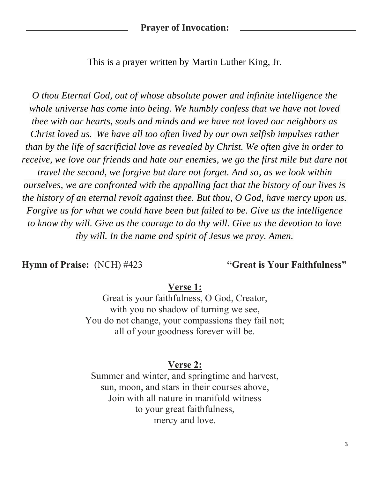This is a prayer written by Martin Luther King, Jr.

*O thou Eternal God, out of whose absolute power and infinite intelligence the whole universe has come into being. We humbly confess that we have not loved thee with our hearts, souls and minds and we have not loved our neighbors as Christ loved us. We have all too often lived by our own selfish impulses rather than by the life of sacrificial love as revealed by Christ. We often give in order to receive, we love our friends and hate our enemies, we go the first mile but dare not travel the second, we forgive but dare not forget. And so, as we look within ourselves, we are confronted with the appalling fact that the history of our lives is the history of an eternal revolt against thee. But thou, O God, have mercy upon us. Forgive us for what we could have been but failed to be. Give us the intelligence to know thy will. Give us the courage to do thy will. Give us the devotion to love thy will. In the name and spirit of Jesus we pray. Amen.*

**Hymn of Praise:** (NCH) #423 **"Great is Your Faithfulness"** 

#### **Verse 1:**

Great is your faithfulness, O God, Creator, with you no shadow of turning we see, You do not change, your compassions they fail not; all of your goodness forever will be.

#### **Verse 2:**

Summer and winter, and springtime and harvest, sun, moon, and stars in their courses above, Join with all nature in manifold witness to your great faithfulness, mercy and love.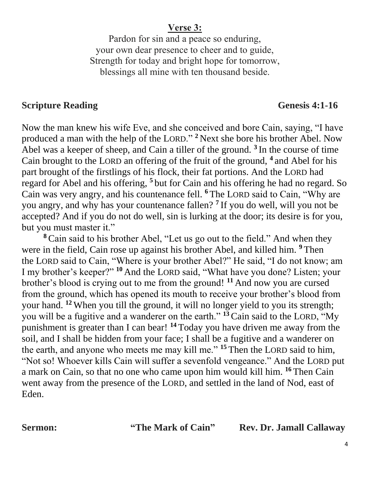# **Verse 3:**

Pardon for sin and a peace so enduring, your own dear presence to cheer and to guide, Strength for today and bright hope for tomorrow, blessings all mine with ten thousand beside.

#### **Scripture Reading Genesis 4:1-16**

Now the man knew his wife Eve, and she conceived and bore Cain, saying, "I have produced a man with the help of the LORD." **<sup>2</sup>** Next she bore his brother Abel. Now Abel was a keeper of sheep, and Cain a tiller of the ground. **<sup>3</sup>** In the course of time Cain brought to the LORD an offering of the fruit of the ground, **<sup>4</sup>** and Abel for his part brought of the firstlings of his flock, their fat portions. And the LORD had regard for Abel and his offering, **<sup>5</sup>** but for Cain and his offering he had no regard. So Cain was very angry, and his countenance fell. **<sup>6</sup>** The LORD said to Cain, "Why are you angry, and why has your countenance fallen? **<sup>7</sup>** If you do well, will you not be accepted? And if you do not do well, sin is lurking at the door; its desire is for you, but you must master it."

**<sup>8</sup>**Cain said to his brother Abel, "Let us go out to the field." And when they were in the field, Cain rose up against his brother Abel, and killed him. **<sup>9</sup>** Then the LORD said to Cain, "Where is your brother Abel?" He said, "I do not know; am I my brother's keeper?" **<sup>10</sup>** And the LORD said, "What have you done? Listen; your brother's blood is crying out to me from the ground! **<sup>11</sup>** And now you are cursed from the ground, which has opened its mouth to receive your brother's blood from your hand. **<sup>12</sup>** When you till the ground, it will no longer yield to you its strength; you will be a fugitive and a wanderer on the earth." **<sup>13</sup>**Cain said to the LORD, "My punishment is greater than I can bear! **<sup>14</sup>** Today you have driven me away from the soil, and I shall be hidden from your face; I shall be a fugitive and a wanderer on the earth, and anyone who meets me may kill me." **<sup>15</sup>** Then the LORD said to him, "Not so! Whoever kills Cain will suffer a sevenfold vengeance." And the LORD put a mark on Cain, so that no one who came upon him would kill him. **<sup>16</sup>** Then Cain went away from the presence of the LORD, and settled in the land of Nod, east of Eden.

**Sermon: "The Mark of Cain" Rev. Dr. Jamall Callaway**

4